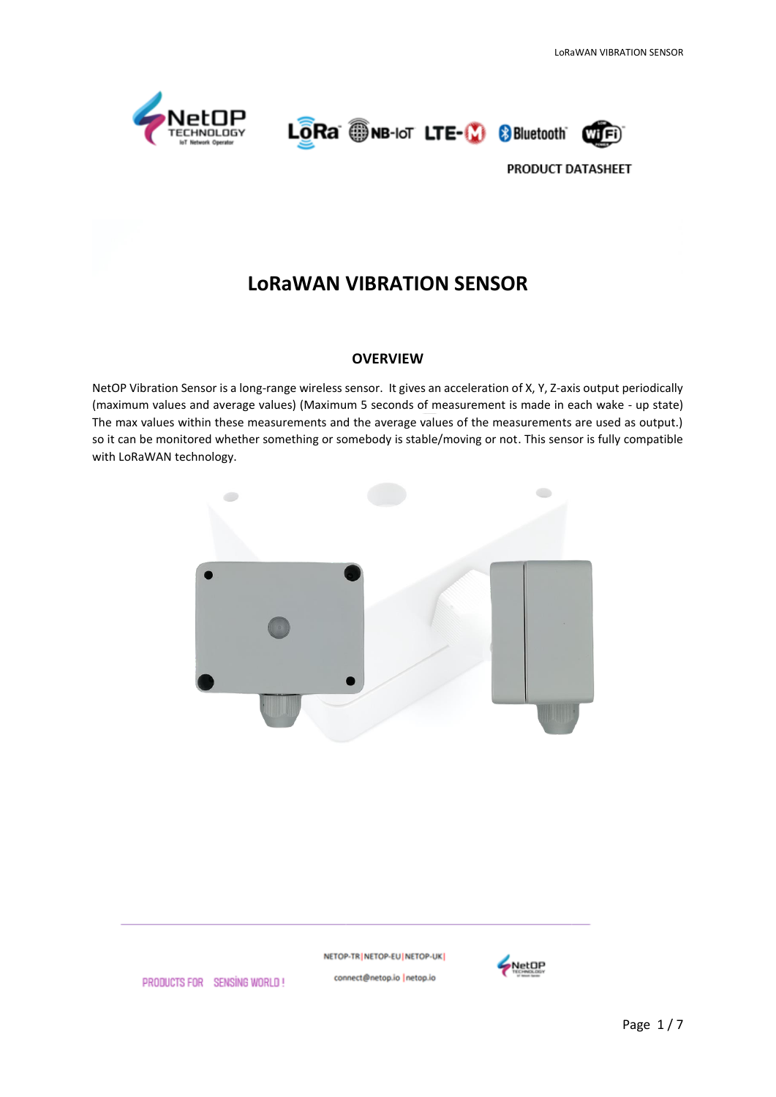





# **LoRaWAN VIBRATION SENSOR**

#### **OVERVIEW**

NetOP Vibration Sensor is a long-range wireless sensor. It gives an acceleration of X, Y, Z-axis output periodically (maximum values and average values) (Maximum 5 seconds of measurement is made in each wake - up state) The max values within these measurements and the average values of the measurements are used as output.) so it can be monitored whether something or somebody is stable/moving or not. This sensor is fully compatible with LoRaWAN technology.



NETOP-TR | NETOP-EU | NETOP-UK | connect@netop.io |netop.io



PRODUCTS FOR SENSING WORLD!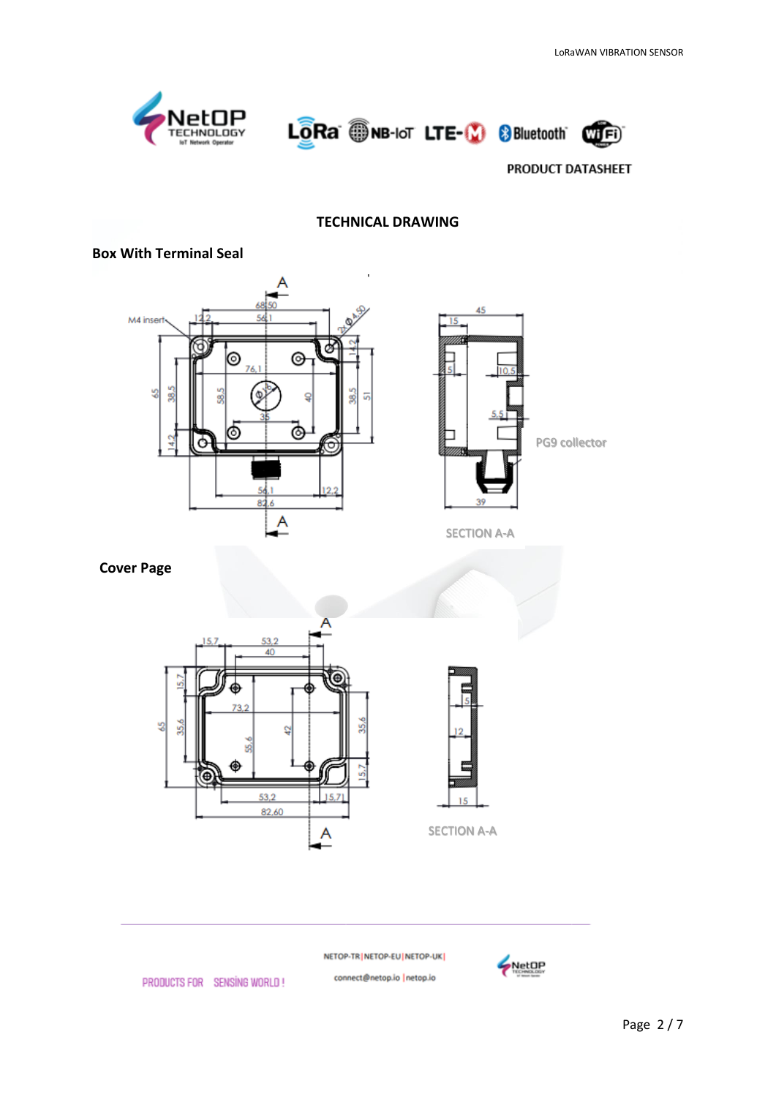





## **TECHNICAL DRAWING**

#### **Box With Terminal Seal**





 **Cover Page**





NETOP-TR NETOP-EU NETOP-UK

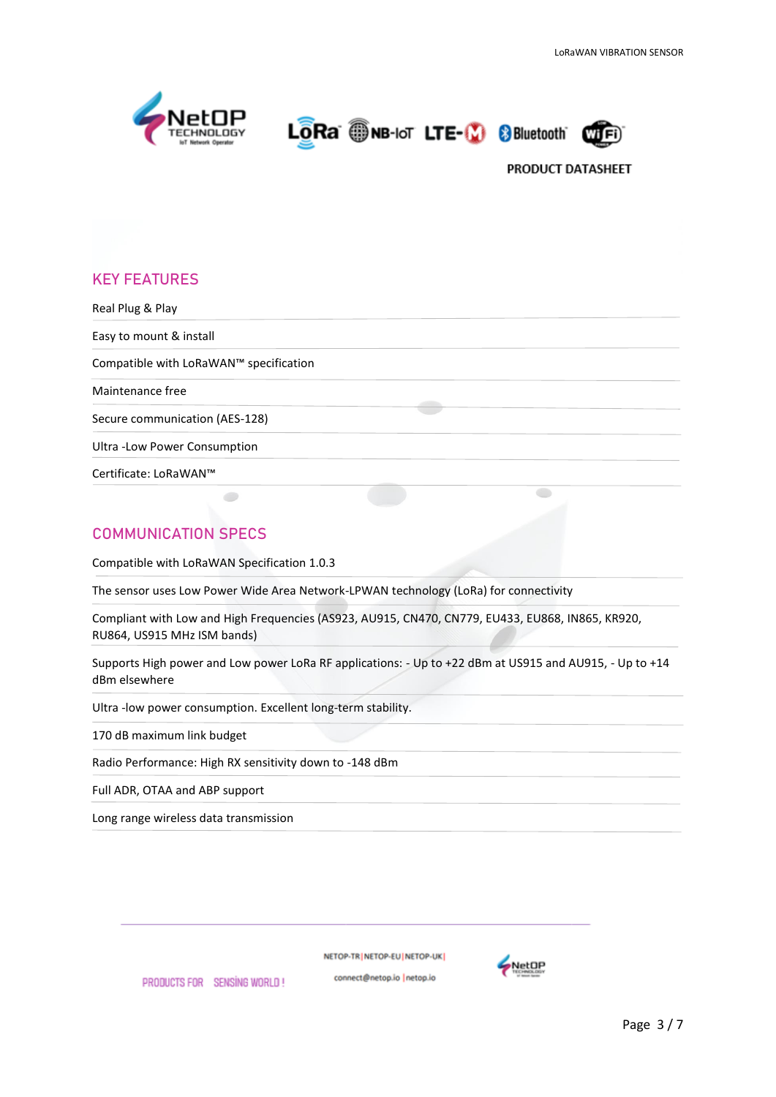





# **KEY FEATURES**

Real Plug & Play Easy to mount & install Compatible with LoRaWAN™ specification Maintenance free Secure communication (AES-128) Ultra -Low Power Consumption Certificate: LoRaWAN™  $\bullet$ 

# **COMMUNICATION SPECS**

Compatible with LoRaWAN Specification 1.0.3

The sensor uses Low Power Wide Area Network-LPWAN technology (LoRa) for connectivity

Compliant with Low and High Frequencies (AS923, AU915, CN470, CN779, EU433, EU868, IN865, KR920, RU864, US915 MHz ISM bands)

Supports High power and Low power LoRa RF applications: - Up to +22 dBm at US915 and AU915, - Up to +14 dBm elsewhere

Ultra -low power consumption. Excellent long-term stability.

170 dB maximum link budget

Radio Performance: High RX sensitivity down to -148 dBm

Full ADR, OTAA and ABP support

Long range wireless data transmission

NETOP-TRINETOP-EUINETOP-UK

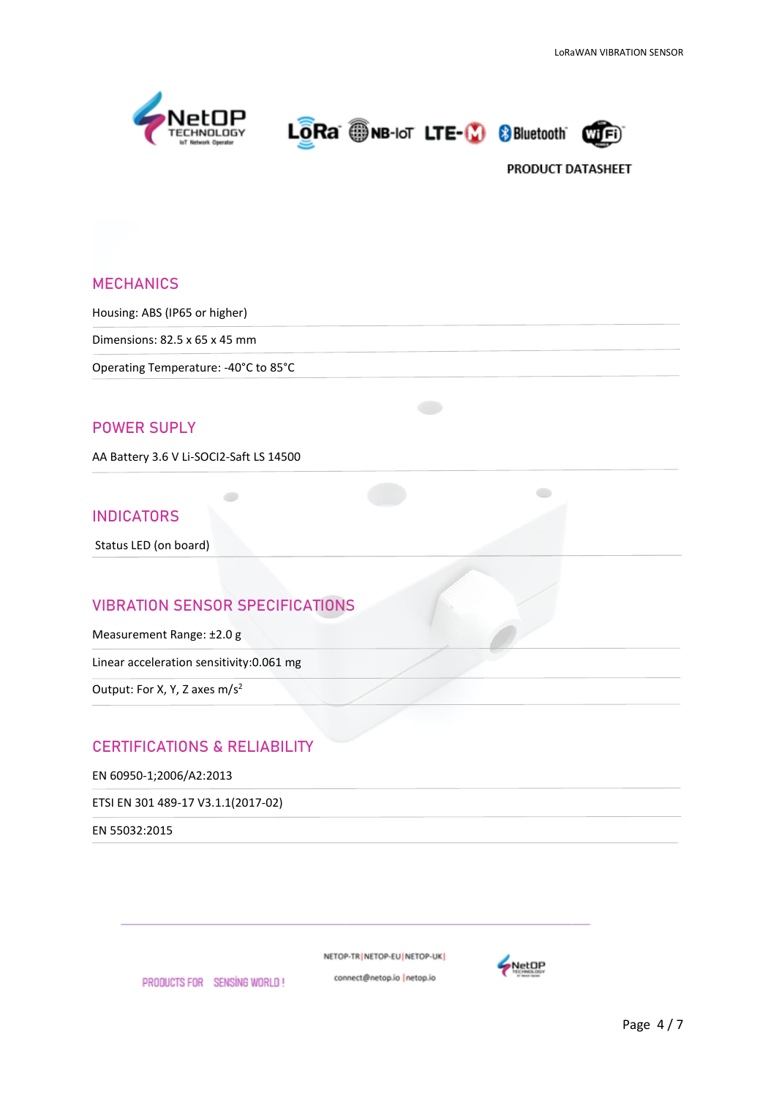





### **MECHANICS**

Housing: ABS (IP65 or higher)

Dimensions: 82.5 x 65 x 45 mm

Operating Temperature: -40°C to 85°C

## **POWER SUPLY**

AA Battery 3.6 V Li-SOCI2-Saft LS 14500

#### **INDICATORS**

Status LED (on board)

## **VIBRATION SENSOR SPECIFICATIONS**

Measurement Range: ±2.0 g

Linear acceleration sensitivity:0.061 mg

Output: For X, Y, Z axes m/s<sup>2</sup>

## **CERTIFICATIONS & RELIABILITY**

EN 60950-1;2006/A2:2013

ETSI EN 301 489-17 V3.1.1(2017-02)

EN 55032:2015

NETOP-TR | NETOP-EU | NETOP-UK |

connect@netop.io |netop.io PRODUCTS FOR SENSING WORLD!

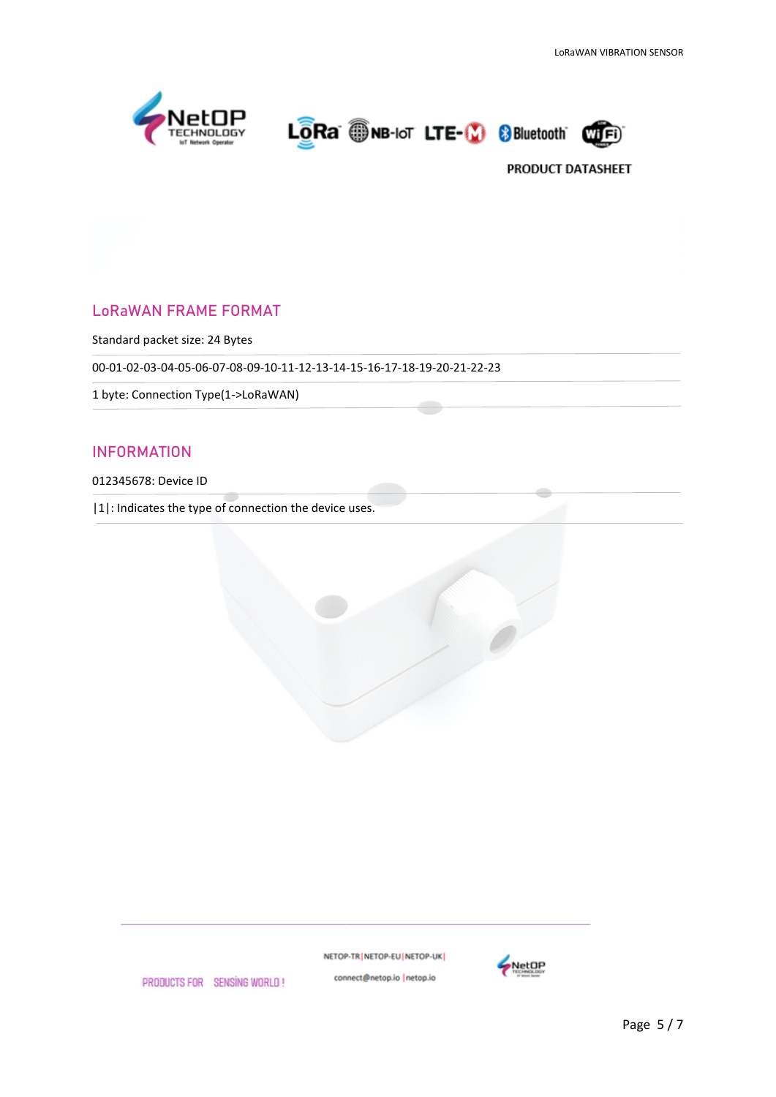





# **LoRaWAN FRAME FORMAT**

Standard packet size: 24 Bytes

00-01-02-03-04-05-06-07-08-09-10-11-12-13-14-15-16-17-18-19-20-21-22-23

1 byte: Connection Type(1->LoRaWAN)

## **INFORMATION**

012345678: Device ID

|1|: Indicates the type of connection the device uses.

NETOP-TR | NETOP-EU | NETOP-UK |



PRODUCTS FOR SENSING WORLD!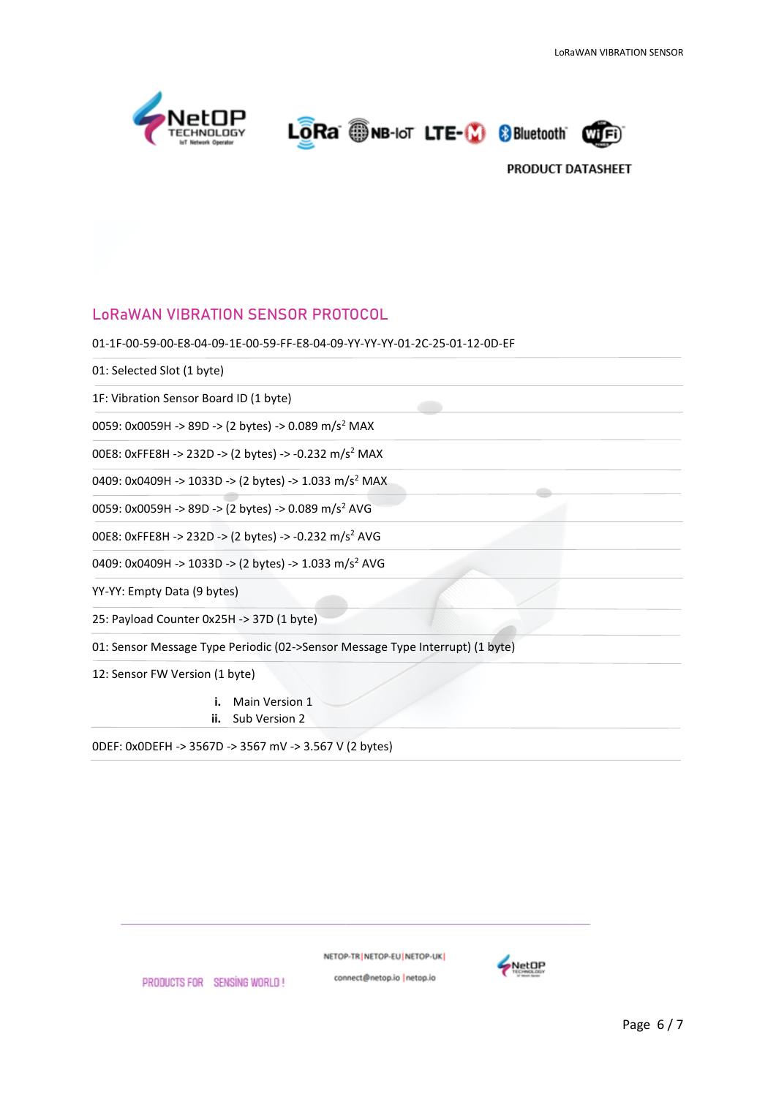

LORa ONB-IoT LTE-(2) 8Bluetooth



## **LoRaWAN VIBRATION SENSOR PROTOCOL**

01-1F-00-59-00-E8-04-09-1E-00-59-FF-E8-04-09-YY-YY-YY-01-2C-25-01-12-0D-EF

01: Selected Slot (1 byte)

1F: Vibration Sensor Board ID (1 byte)

0059: 0x0059H -> 89D -> (2 bytes) -> 0.089 m/s<sup>2</sup> MAX

00E8: 0xFFE8H -> 232D -> (2 bytes) -> -0.232 m/s<sup>2</sup> MAX

0409: 0x0409H -> 1033D -> (2 bytes) -> 1.033 m/s<sup>2</sup> MAX

0059: 0x0059H -> 89D -> (2 bytes) -> 0.089 m/s<sup>2</sup> AVG

00E8: 0xFFE8H -> 232D -> (2 bytes) -> -0.232 m/s<sup>2</sup> AVG

0409: 0x0409H -> 1033D -> (2 bytes) -> 1.033 m/s<sup>2</sup> AVG

YY-YY: Empty Data (9 bytes)

25: Payload Counter 0x25H -> 37D (1 byte)

01: Sensor Message Type Periodic (02->Sensor Message Type Interrupt) (1 byte)

12: Sensor FW Version (1 byte)

**i.** Main Version 1

**ii.** Sub Version 2

0DEF: 0x0DEFH -> 3567D -> 3567 mV -> 3.567 V (2 bytes)

NETOP-TR | NETOP-EU | NETOP-UK |

connect@netop.io |netop.io



Page 6 / 7